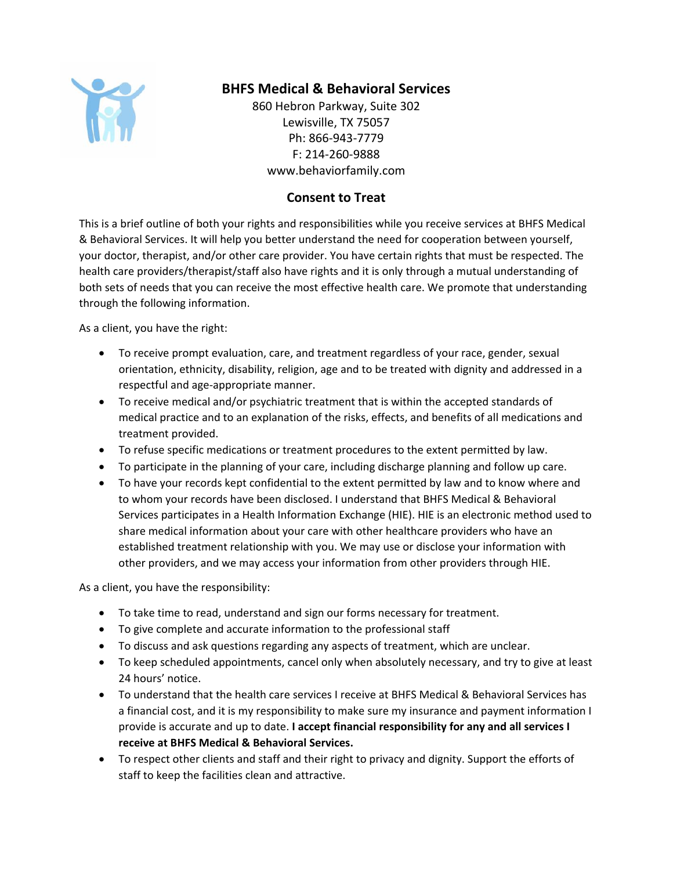

## **BHFS Medical & Behavioral Services**

860 Hebron Parkway, Suite 302 Lewisville, TX 75057 Ph: 866-943-7779 F: 214-260-9888 www.behaviorfamily.com

## **Consent to Treat**

This is a brief outline of both your rights and responsibilities while you receive services at BHFS Medical & Behavioral Services. It will help you better understand the need for cooperation between yourself, your doctor, therapist, and/or other care provider. You have certain rights that must be respected. The health care providers/therapist/staff also have rights and it is only through a mutual understanding of both sets of needs that you can receive the most effective health care. We promote that understanding through the following information.

As a client, you have the right:

- To receive prompt evaluation, care, and treatment regardless of your race, gender, sexual orientation, ethnicity, disability, religion, age and to be treated with dignity and addressed in a respectful and age-appropriate manner.
- To receive medical and/or psychiatric treatment that is within the accepted standards of medical practice and to an explanation of the risks, effects, and benefits of all medications and treatment provided.
- To refuse specific medications or treatment procedures to the extent permitted by law.
- To participate in the planning of your care, including discharge planning and follow up care.
- To have your records kept confidential to the extent permitted by law and to know where and to whom your records have been disclosed. I understand that BHFS Medical & Behavioral Services participates in a Health Information Exchange (HIE). HIE is an electronic method used to share medical information about your care with other healthcare providers who have an established treatment relationship with you. We may use or disclose your information with other providers, and we may access your information from other providers through HIE.

As a client, you have the responsibility:

- To take time to read, understand and sign our forms necessary for treatment.
- To give complete and accurate information to the professional staff
- To discuss and ask questions regarding any aspects of treatment, which are unclear.
- To keep scheduled appointments, cancel only when absolutely necessary, and try to give at least 24 hours' notice.
- To understand that the health care services I receive at BHFS Medical & Behavioral Services has a financial cost, and it is my responsibility to make sure my insurance and payment information I provide is accurate and up to date. **I accept financial responsibility for any and all services I receive at BHFS Medical & Behavioral Services.**
- To respect other clients and staff and their right to privacy and dignity. Support the efforts of staff to keep the facilities clean and attractive.